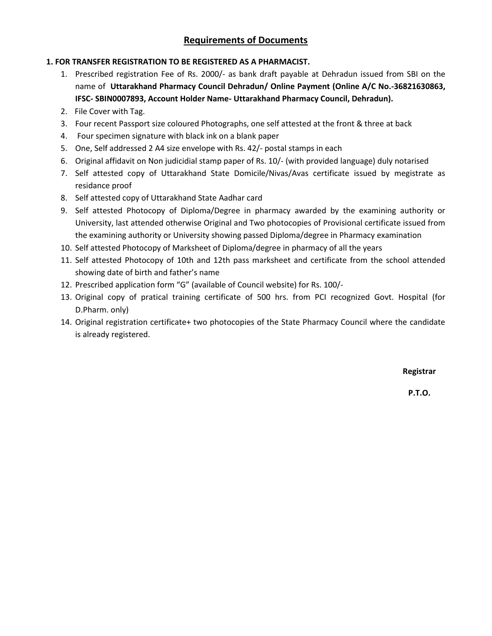# **Requirements of Documents**

## **1. FOR TRANSFER REGISTRATION TO BE REGISTERED AS A PHARMACIST.**

- 1. Prescribed registration Fee of Rs. 2000/- as bank draft payable at Dehradun issued from SBI on the name of **Uttarakhand Pharmacy Council Dehradun/ Online Payment (Online A/C No.-36821630863, IFSC- SBIN0007893, Account Holder Name- Uttarakhand Pharmacy Council, Dehradun).**
- 2. File Cover with Tag.
- 3. Four recent Passport size coloured Photographs, one self attested at the front & three at back
- 4. Four specimen signature with black ink on a blank paper
- 5. One, Self addressed 2 A4 size envelope with Rs. 42/- postal stamps in each
- 6. Original affidavit on Non judicidial stamp paper of Rs. 10/- (with provided language) duly notarised
- 7. Self attested copy of Uttarakhand State Domicile/Nivas/Avas certificate issued by megistrate as residance proof
- 8. Self attested copy of Uttarakhand State Aadhar card
- 9. Self attested Photocopy of Diploma/Degree in pharmacy awarded by the examining authority or University, last attended otherwise Original and Two photocopies of Provisional certificate issued from the examining authority or University showing passed Diploma/degree in Pharmacy examination
- 10. Self attested Photocopy of Marksheet of Diploma/degree in pharmacy of all the years
- 11. Self attested Photocopy of 10th and 12th pass marksheet and certificate from the school attended showing date of birth and father's name
- 12. Prescribed application form "G" (available of Council website) for Rs. 100/-
- 13. Original copy of pratical training certificate of 500 hrs. from PCI recognized Govt. Hospital (for D.Pharm. only)
- 14. Original registration certificate+ two photocopies of the State Pharmacy Council where the candidate is already registered.

**Registrar**

**P.T.O.**